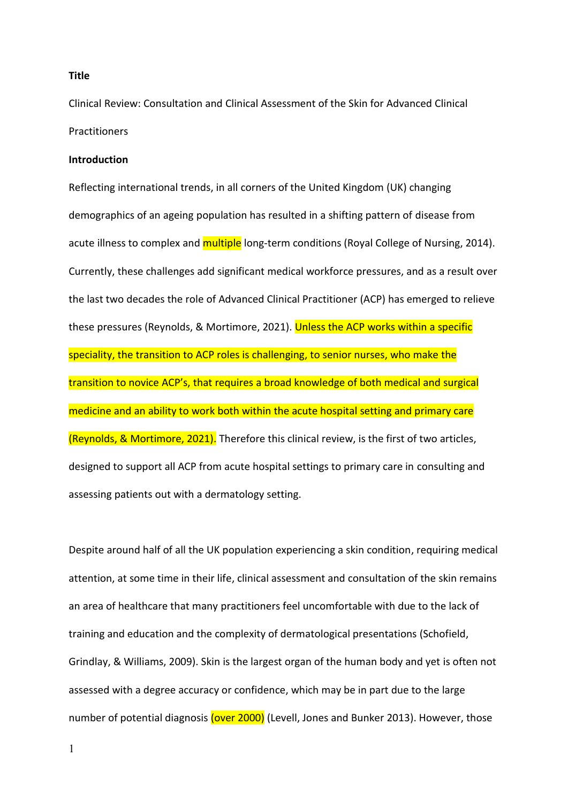## **Title**

Clinical Review: Consultation and Clinical Assessment of the Skin for Advanced Clinical **Practitioners** 

#### **Introduction**

Reflecting international trends, in all corners of the United Kingdom (UK) changing demographics of an ageing population has resulted in a shifting pattern of disease from acute illness to complex and multiple long-term conditions (Royal College of Nursing, 2014). Currently, these challenges add significant medical workforce pressures, and as a result over the last two decades the role of Advanced Clinical Practitioner (ACP) has emerged to relieve these pressures (Reynolds, & Mortimore, 2021). Unless the ACP works within a specific speciality, the transition to ACP roles is challenging, to senior nurses, who make the transition to novice ACP's, that requires a broad knowledge of both medical and surgical medicine and an ability to work both within the acute hospital setting and primary care (Reynolds, & Mortimore, 2021). Therefore this clinical review, is the first of two articles, designed to support all ACP from acute hospital settings to primary care in consulting and assessing patients out with a dermatology setting.

Despite around half of all the UK population experiencing a skin condition, requiring medical attention, at some time in their life, clinical assessment and consultation of the skin remains an area of healthcare that many practitioners feel uncomfortable with due to the lack of training and education and the complexity of dermatological presentations (Schofield, Grindlay, & Williams, 2009). Skin is the largest organ of the human body and yet is often not assessed with a degree accuracy or confidence, which may be in part due to the large number of potential diagnosis (over 2000) (Levell, Jones and Bunker 2013). However, those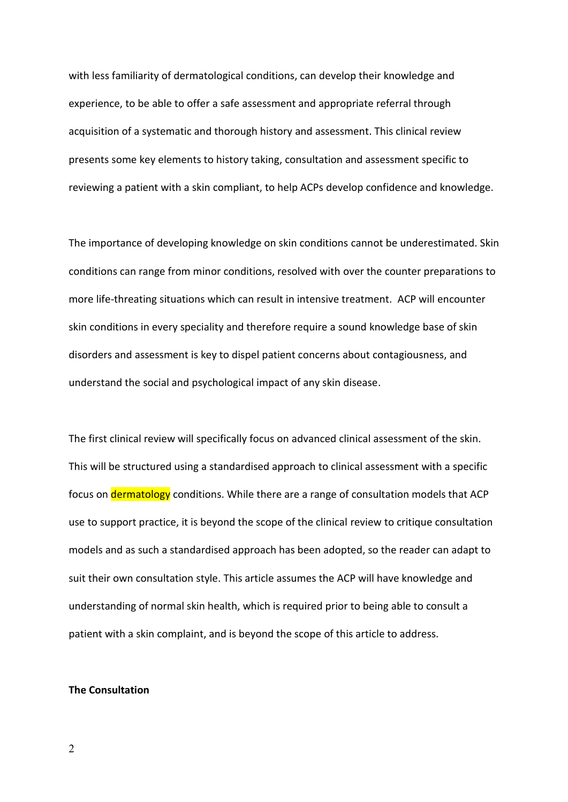with less familiarity of dermatological conditions, can develop their knowledge and experience, to be able to offer a safe assessment and appropriate referral through acquisition of a systematic and thorough history and assessment. This clinical review presents some key elements to history taking, consultation and assessment specific to reviewing a patient with a skin compliant, to help ACPs develop confidence and knowledge.

The importance of developing knowledge on skin conditions cannot be underestimated. Skin conditions can range from minor conditions, resolved with over the counter preparations to more life-threating situations which can result in intensive treatment. ACP will encounter skin conditions in every speciality and therefore require a sound knowledge base of skin disorders and assessment is key to dispel patient concerns about contagiousness, and understand the social and psychological impact of any skin disease.

The first clinical review will specifically focus on advanced clinical assessment of the skin. This will be structured using a standardised approach to clinical assessment with a specific focus on **dermatology** conditions. While there are a range of consultation models that ACP use to support practice, it is beyond the scope of the clinical review to critique consultation models and as such a standardised approach has been adopted, so the reader can adapt to suit their own consultation style. This article assumes the ACP will have knowledge and understanding of normal skin health, which is required prior to being able to consult a patient with a skin complaint, and is beyond the scope of this article to address.

#### **The Consultation**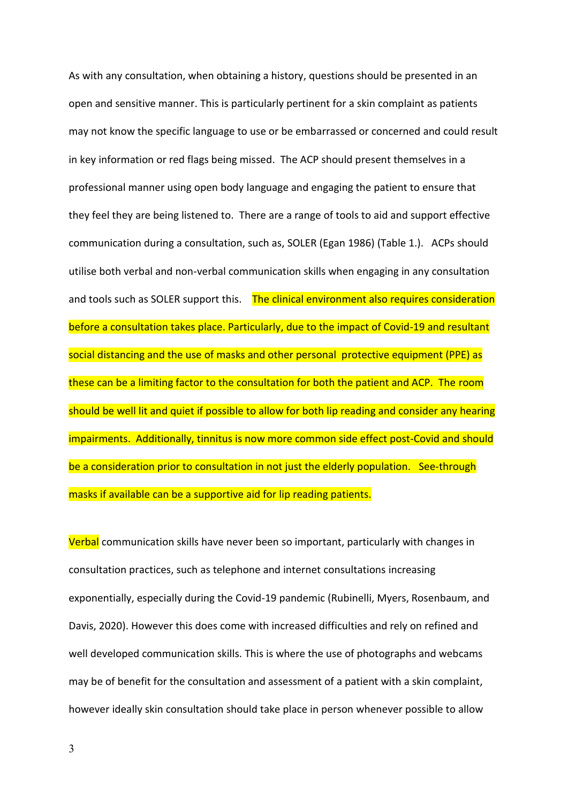As with any consultation, when obtaining a history, questions should be presented in an open and sensitive manner. This is particularly pertinent for a skin complaint as patients may not know the specific language to use or be embarrassed or concerned and could result in key information or red flags being missed. The ACP should present themselves in a professional manner using open body language and engaging the patient to ensure that they feel they are being listened to. There are a range of tools to aid and support effective communication during a consultation, such as, SOLER (Egan 1986) (Table 1.). ACPs should utilise both verbal and non-verbal communication skills when engaging in any consultation and tools such as SOLER support this. The clinical environment also requires consideration before a consultation takes place. Particularly, due to the impact of Covid-19 and resultant social distancing and the use of masks and other personal protective equipment (PPE) as these can be a limiting factor to the consultation for both the patient and ACP. The room should be well lit and quiet if possible to allow for both lip reading and consider any hearing impairments. Additionally, tinnitus is now more common side effect post-Covid and should be a consideration prior to consultation in not just the elderly population. See-through masks if available can be a supportive aid for lip reading patients.

Verbal communication skills have never been so important, particularly with changes in consultation practices, such as telephone and internet consultations increasing exponentially, especially during the Covid-19 pandemic (Rubinelli, Myers, Rosenbaum, and Davis, 2020). However this does come with increased difficulties and rely on refined and well developed communication skills. This is where the use of photographs and webcams may be of benefit for the consultation and assessment of a patient with a skin complaint, however ideally skin consultation should take place in person whenever possible to allow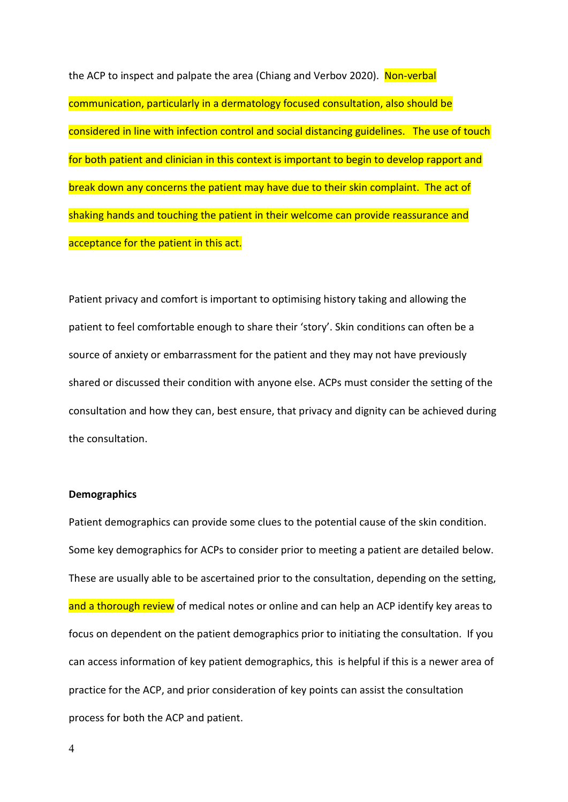the ACP to inspect and palpate the area (Chiang and Verbov 2020). Non-verbal communication, particularly in a dermatology focused consultation, also should be considered in line with infection control and social distancing guidelines. The use of touch for both patient and clinician in this context is important to begin to develop rapport and break down any concerns the patient may have due to their skin complaint. The act of shaking hands and touching the patient in their welcome can provide reassurance and acceptance for the patient in this act.

Patient privacy and comfort is important to optimising history taking and allowing the patient to feel comfortable enough to share their 'story'. Skin conditions can often be a source of anxiety or embarrassment for the patient and they may not have previously shared or discussed their condition with anyone else. ACPs must consider the setting of the consultation and how they can, best ensure, that privacy and dignity can be achieved during the consultation.

# **Demographics**

Patient demographics can provide some clues to the potential cause of the skin condition. Some key demographics for ACPs to consider prior to meeting a patient are detailed below. These are usually able to be ascertained prior to the consultation, depending on the setting, and a thorough review of medical notes or online and can help an ACP identify key areas to focus on dependent on the patient demographics prior to initiating the consultation. If you can access information of key patient demographics, this is helpful if this is a newer area of practice for the ACP, and prior consideration of key points can assist the consultation process for both the ACP and patient.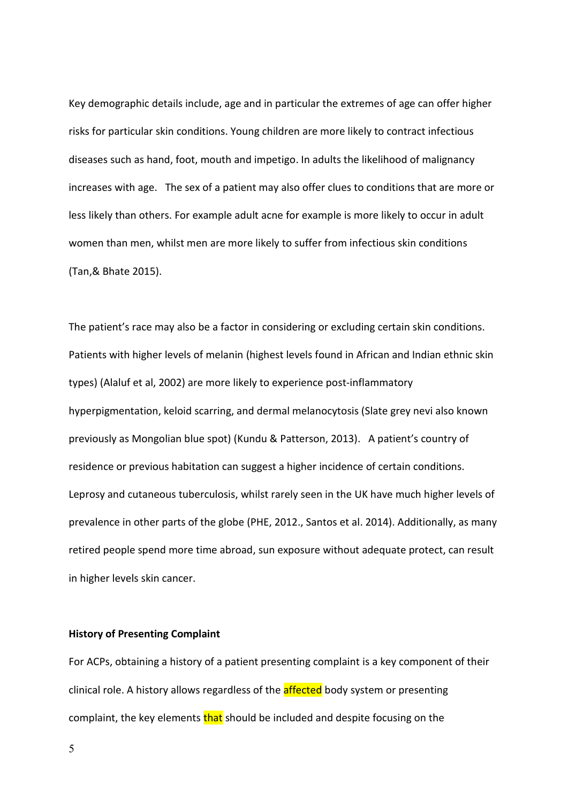Key demographic details include, age and in particular the extremes of age can offer higher risks for particular skin conditions. Young children are more likely to contract infectious diseases such as hand, foot, mouth and impetigo. In adults the likelihood of malignancy increases with age. The sex of a patient may also offer clues to conditions that are more or less likely than others. For example adult acne for example is more likely to occur in adult women than men, whilst men are more likely to suffer from infectious skin conditions (Tan,& Bhate 2015).

The patient's race may also be a factor in considering or excluding certain skin conditions. Patients with higher levels of melanin (highest levels found in African and Indian ethnic skin types) (Alaluf et al, 2002) are more likely to experience post-inflammatory hyperpigmentation, keloid scarring, and dermal melanocytosis (Slate grey nevi also known previously as Mongolian blue spot) (Kundu & Patterson, 2013). A patient's country of residence or previous habitation can suggest a higher incidence of certain conditions. Leprosy and cutaneous tuberculosis, whilst rarely seen in the UK have much higher levels of prevalence in other parts of the globe (PHE, 2012., Santos et al. 2014). Additionally, as many retired people spend more time abroad, sun exposure without adequate protect, can result in higher levels skin cancer.

# **History of Presenting Complaint**

For ACPs, obtaining a history of a patient presenting complaint is a key component of their clinical role. A history allows regardless of the **affected** body system or presenting complaint, the key elements that should be included and despite focusing on the

5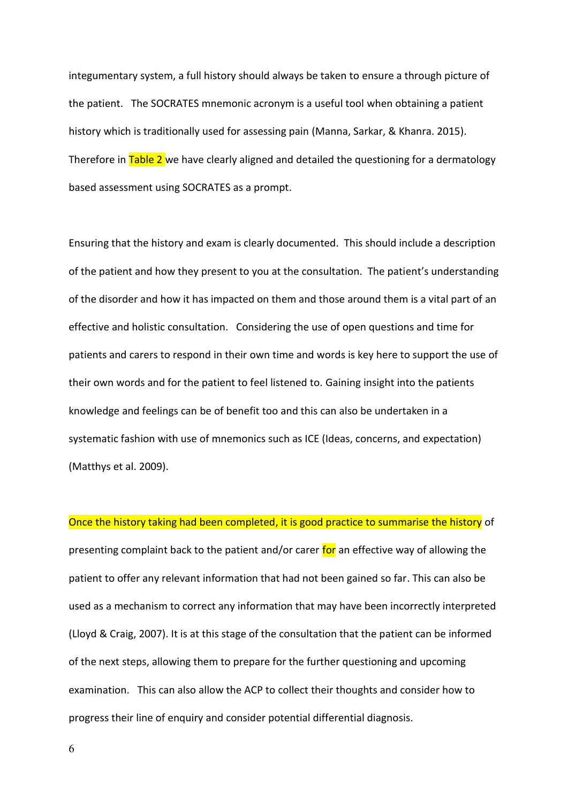integumentary system, a full history should always be taken to ensure a through picture of the patient. The SOCRATES mnemonic acronym is a useful tool when obtaining a patient history which is traditionally used for assessing pain (Manna, Sarkar, & Khanra. 2015). Therefore in Table 2 we have clearly aligned and detailed the questioning for a dermatology based assessment using SOCRATES as a prompt.

Ensuring that the history and exam is clearly documented. This should include a description of the patient and how they present to you at the consultation. The patient's understanding of the disorder and how it has impacted on them and those around them is a vital part of an effective and holistic consultation. Considering the use of open questions and time for patients and carers to respond in their own time and words is key here to support the use of their own words and for the patient to feel listened to. Gaining insight into the patients knowledge and feelings can be of benefit too and this can also be undertaken in a systematic fashion with use of mnemonics such as ICE (Ideas, concerns, and expectation) (Matthys et al. 2009).

Once the history taking had been completed, it is good practice to summarise the history of presenting complaint back to the patient and/or carer for an effective way of allowing the patient to offer any relevant information that had not been gained so far. This can also be used as a mechanism to correct any information that may have been incorrectly interpreted (Lloyd & Craig, 2007). It is at this stage of the consultation that the patient can be informed of the next steps, allowing them to prepare for the further questioning and upcoming examination. This can also allow the ACP to collect their thoughts and consider how to progress their line of enquiry and consider potential differential diagnosis.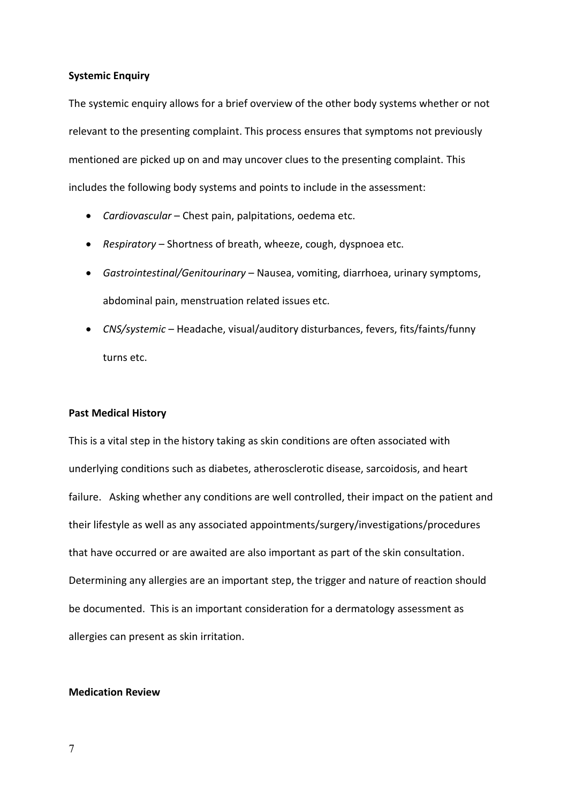# **Systemic Enquiry**

The systemic enquiry allows for a brief overview of the other body systems whether or not relevant to the presenting complaint. This process ensures that symptoms not previously mentioned are picked up on and may uncover clues to the presenting complaint. This includes the following body systems and points to include in the assessment:

- *Cardiovascular* Chest pain, palpitations, oedema etc.
- *Respiratory* Shortness of breath, wheeze, cough, dyspnoea etc.
- *Gastrointestinal/Genitourinary* Nausea, vomiting, diarrhoea, urinary symptoms, abdominal pain, menstruation related issues etc.
- *CNS/systemic* Headache, visual/auditory disturbances, fevers, fits/faints/funny turns etc.

### **Past Medical History**

This is a vital step in the history taking as skin conditions are often associated with underlying conditions such as diabetes, atherosclerotic disease, sarcoidosis, and heart failure. Asking whether any conditions are well controlled, their impact on the patient and their lifestyle as well as any associated appointments/surgery/investigations/procedures that have occurred or are awaited are also important as part of the skin consultation. Determining any allergies are an important step, the trigger and nature of reaction should be documented. This is an important consideration for a dermatology assessment as allergies can present as skin irritation.

### **Medication Review**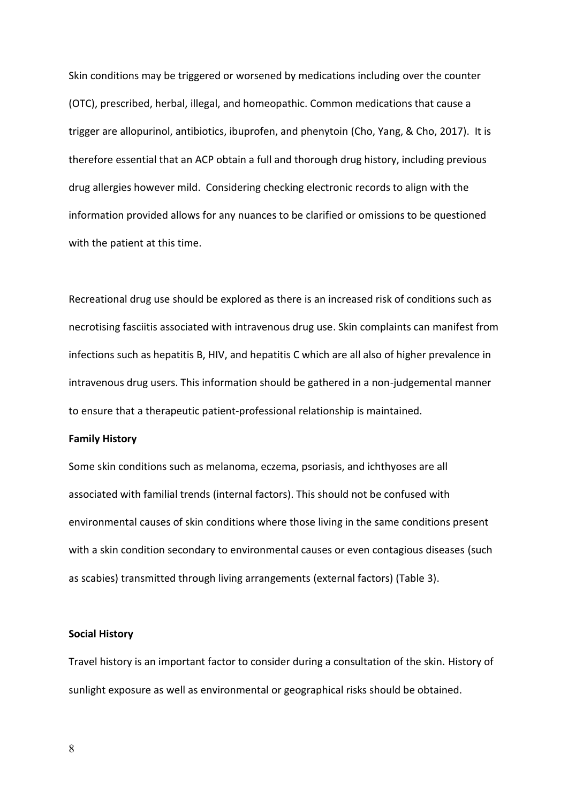Skin conditions may be triggered or worsened by medications including over the counter (OTC), prescribed, herbal, illegal, and homeopathic. Common medications that cause a trigger are allopurinol, antibiotics, ibuprofen, and phenytoin (Cho, Yang, & Cho, 2017). It is therefore essential that an ACP obtain a full and thorough drug history, including previous drug allergies however mild. Considering checking electronic records to align with the information provided allows for any nuances to be clarified or omissions to be questioned with the patient at this time.

Recreational drug use should be explored as there is an increased risk of conditions such as necrotising fasciitis associated with intravenous drug use. Skin complaints can manifest from infections such as hepatitis B, HIV, and hepatitis C which are all also of higher prevalence in intravenous drug users. This information should be gathered in a non-judgemental manner to ensure that a therapeutic patient-professional relationship is maintained.

#### **Family History**

Some skin conditions such as melanoma, eczema, psoriasis, and ichthyoses are all associated with familial trends (internal factors). This should not be confused with environmental causes of skin conditions where those living in the same conditions present with a skin condition secondary to environmental causes or even contagious diseases (such as scabies) transmitted through living arrangements (external factors) (Table 3).

### **Social History**

Travel history is an important factor to consider during a consultation of the skin. History of sunlight exposure as well as environmental or geographical risks should be obtained.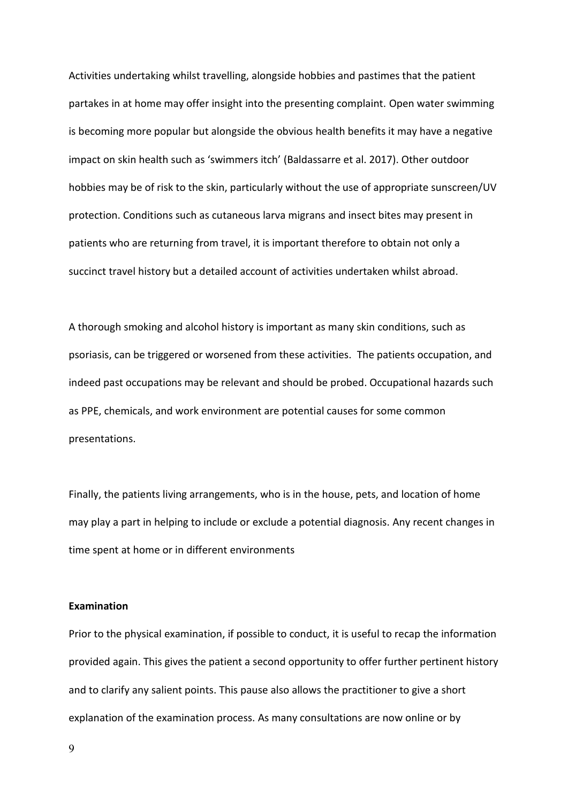Activities undertaking whilst travelling, alongside hobbies and pastimes that the patient partakes in at home may offer insight into the presenting complaint. Open water swimming is becoming more popular but alongside the obvious health benefits it may have a negative impact on skin health such as 'swimmers itch' (Baldassarre et al. 2017). Other outdoor hobbies may be of risk to the skin, particularly without the use of appropriate sunscreen/UV protection. Conditions such as cutaneous larva migrans and insect bites may present in patients who are returning from travel, it is important therefore to obtain not only a succinct travel history but a detailed account of activities undertaken whilst abroad.

A thorough smoking and alcohol history is important as many skin conditions, such as psoriasis, can be triggered or worsened from these activities. The patients occupation, and indeed past occupations may be relevant and should be probed. Occupational hazards such as PPE, chemicals, and work environment are potential causes for some common presentations.

Finally, the patients living arrangements, who is in the house, pets, and location of home may play a part in helping to include or exclude a potential diagnosis. Any recent changes in time spent at home or in different environments

#### **Examination**

Prior to the physical examination, if possible to conduct, it is useful to recap the information provided again. This gives the patient a second opportunity to offer further pertinent history and to clarify any salient points. This pause also allows the practitioner to give a short explanation of the examination process. As many consultations are now online or by

9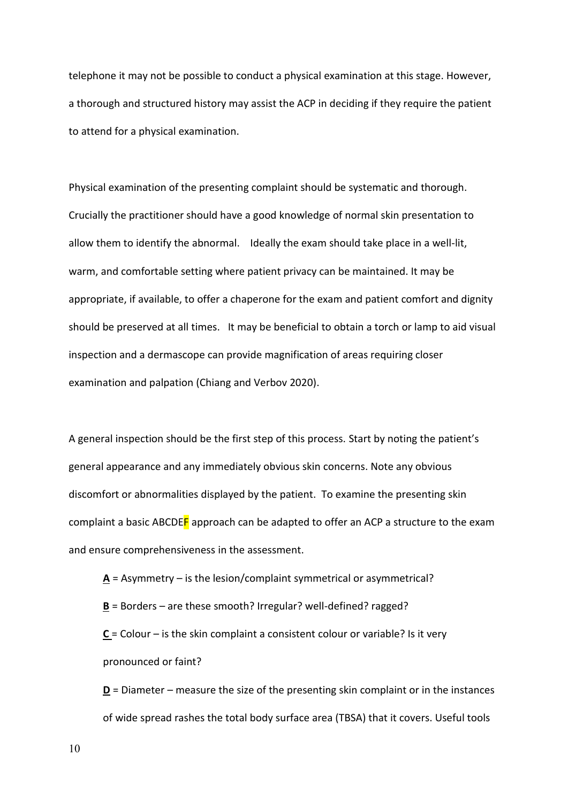telephone it may not be possible to conduct a physical examination at this stage. However, a thorough and structured history may assist the ACP in deciding if they require the patient to attend for a physical examination.

Physical examination of the presenting complaint should be systematic and thorough. Crucially the practitioner should have a good knowledge of normal skin presentation to allow them to identify the abnormal. Ideally the exam should take place in a well-lit, warm, and comfortable setting where patient privacy can be maintained. It may be appropriate, if available, to offer a chaperone for the exam and patient comfort and dignity should be preserved at all times. It may be beneficial to obtain a torch or lamp to aid visual inspection and a dermascope can provide magnification of areas requiring closer examination and palpation (Chiang and Verbov 2020).

A general inspection should be the first step of this process. Start by noting the patient's general appearance and any immediately obvious skin concerns. Note any obvious discomfort or abnormalities displayed by the patient. To examine the presenting skin complaint a basic ABCDEF approach can be adapted to offer an ACP a structure to the exam and ensure comprehensiveness in the assessment.

**A** = Asymmetry – is the lesion/complaint symmetrical or asymmetrical?

**B** = Borders – are these smooth? Irregular? well-defined? ragged?

**C** = Colour – is the skin complaint a consistent colour or variable? Is it very pronounced or faint?

**D** = Diameter – measure the size of the presenting skin complaint or in the instances of wide spread rashes the total body surface area (TBSA) that it covers. Useful tools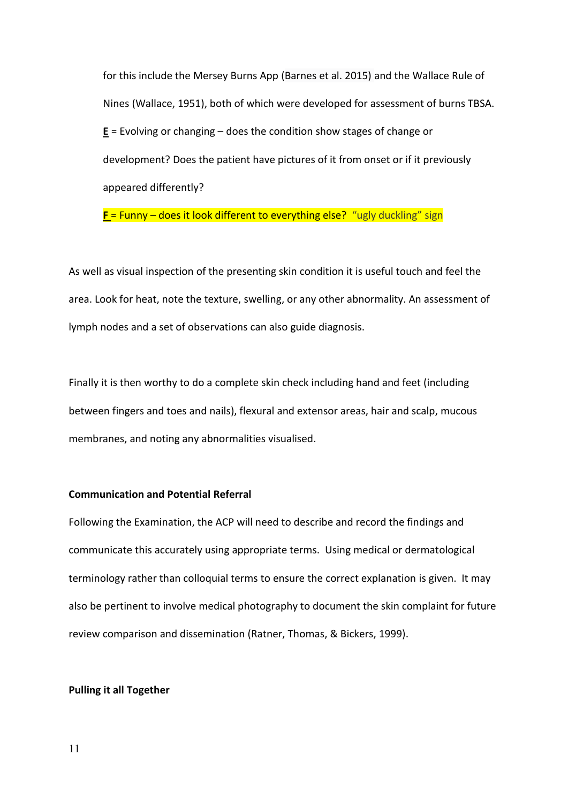for this include the Mersey Burns App (Barnes et al. 2015) and the Wallace Rule of Nines (Wallace, 1951), both of which were developed for assessment of burns TBSA. **E** = Evolving or changing – does the condition show stages of change or development? Does the patient have pictures of it from onset or if it previously appeared differently?

**F** = Funny – does it look different to everything else? "ugly duckling" sign

As well as visual inspection of the presenting skin condition it is useful touch and feel the area. Look for heat, note the texture, swelling, or any other abnormality. An assessment of lymph nodes and a set of observations can also guide diagnosis.

Finally it is then worthy to do a complete skin check including hand and feet (including between fingers and toes and nails), flexural and extensor areas, hair and scalp, mucous membranes, and noting any abnormalities visualised.

#### **Communication and Potential Referral**

Following the Examination, the ACP will need to describe and record the findings and communicate this accurately using appropriate terms. Using medical or dermatological terminology rather than colloquial terms to ensure the correct explanation is given. It may also be pertinent to involve medical photography to document the skin complaint for future review comparison and dissemination (Ratner, Thomas, & Bickers, 1999).

#### **Pulling it all Together**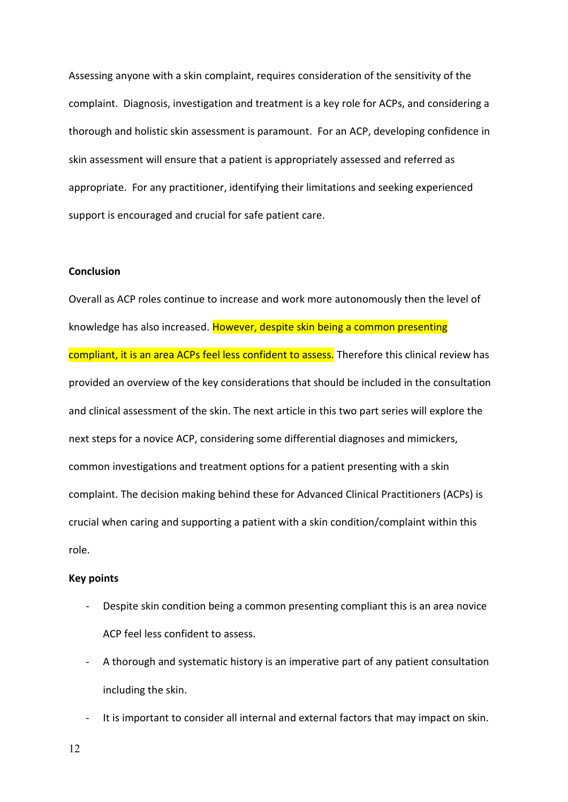Assessing anyone with a skin complaint, requires consideration of the sensitivity of the complaint. Diagnosis, investigation and treatment is a key role for ACPs, and considering a thorough and holistic skin assessment is paramount. For an ACP, developing confidence in skin assessment will ensure that a patient is appropriately assessed and referred as appropriate. For any practitioner, identifying their limitations and seeking experienced support is encouraged and crucial for safe patient care.

### **Conclusion**

Overall as ACP roles continue to increase and work more autonomously then the level of knowledge has also increased. However, despite skin being a common presenting compliant, it is an area ACPs feel less confident to assess. Therefore this clinical review has provided an overview of the key considerations that should be included in the consultation and clinical assessment of the skin. The next article in this two part series will explore the next steps for a novice ACP, considering some differential diagnoses and mimickers, common investigations and treatment options for a patient presenting with a skin complaint. The decision making behind these for Advanced Clinical Practitioners (ACPs) is crucial when caring and supporting a patient with a skin condition/complaint within this role.

# **Key points**

- Despite skin condition being a common presenting compliant this is an area novice ACP feel less confident to assess.
- A thorough and systematic history is an imperative part of any patient consultation including the skin.
- It is important to consider all internal and external factors that may impact on skin.

12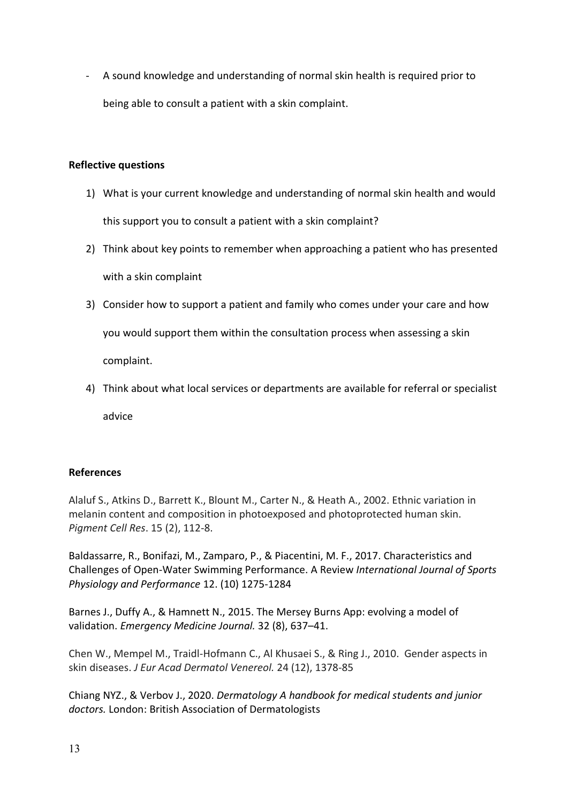- A sound knowledge and understanding of normal skin health is required prior to being able to consult a patient with a skin complaint.

# **Reflective questions**

- 1) What is your current knowledge and understanding of normal skin health and would this support you to consult a patient with a skin complaint?
- 2) Think about key points to remember when approaching a patient who has presented with a skin complaint
- 3) Consider how to support a patient and family who comes under your care and how you would support them within the consultation process when assessing a skin complaint.
- 4) Think about what local services or departments are available for referral or specialist

advice

# **References**

Alaluf S., Atkins D., Barrett K., Blount M., Carter N., & Heath A., 2002. Ethnic variation in melanin content and composition in photoexposed and photoprotected human skin. *Pigment Cell Res*. 15 (2), 112-8.

Baldassarre, R., Bonifazi, M., Zamparo, P., & Piacentini, M. F., 2017. Characteristics and Challenges of Open-Water Swimming Performance. A Review *International Journal of Sports Physiology and Performance* 12. (10) 1275-1284

Barnes J., Duffy A., & Hamnett N., 2015. The Mersey Burns App: evolving a model of validation. *Emergency Medicine Journal.* 32 (8), 637–41.

Chen W., Mempel M., Traidl-Hofmann C., Al Khusaei S., & Ring J., 2010. Gender aspects in skin diseases. *J Eur Acad Dermatol Venereol.* 24 (12), 1378-85

Chiang NYZ., & Verbov J., 2020. *Dermatology A handbook for medical students and junior doctors.* London: British Association of Dermatologists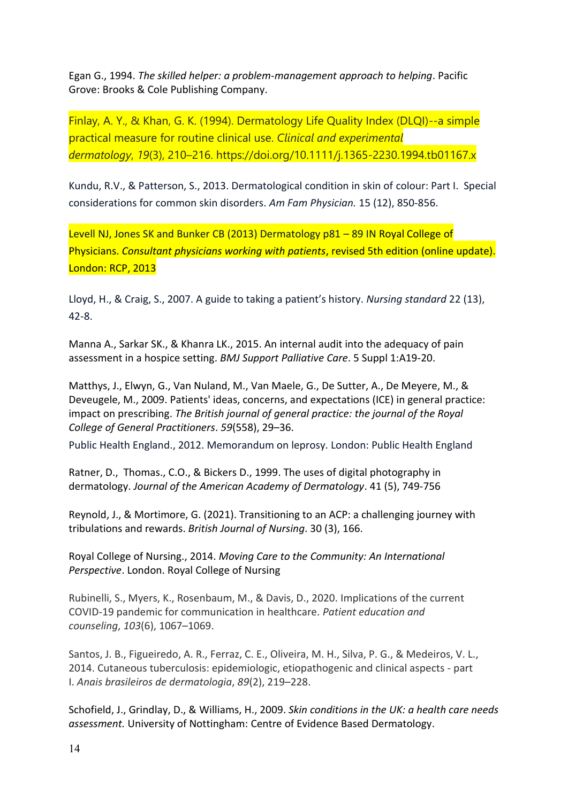Egan G., 1994. *The skilled helper: a problem-management approach to helping*. Pacific Grove: Brooks & Cole Publishing Company.

Finlay, A. Y., & Khan, G. K. (1994). Dermatology Life Quality Index (DLQI)--a simple practical measure for routine clinical use. *Clinical and experimental dermatology*, *19*(3), 210–216. https://doi.org/10.1111/j.1365-2230.1994.tb01167.x

Kundu, R.V., & Patterson, S., 2013. Dermatological condition in skin of colour: Part I. Special considerations for common skin disorders. *Am Fam Physician.* 15 (12), 850-856.

Levell NJ, Jones SK and Bunker CB (2013) Dermatology p81 – 89 IN Royal College of Physicians. *Consultant physicians working with patients*, revised 5th edition (online update). London: RCP, 2013

Lloyd, H., & Craig, S., 2007. A guide to taking a patient's history. *Nursing standard* 22 (13), 42-8.

Manna A., Sarkar SK., & Khanra LK., 2015. An internal audit into the adequacy of pain assessment in a hospice setting. *BMJ Support Palliative Care*. 5 Suppl 1:A19-20.

Matthys, J., Elwyn, G., Van Nuland, M., Van Maele, G., De Sutter, A., De Meyere, M., & Deveugele, M., 2009. Patients' ideas, concerns, and expectations (ICE) in general practice: impact on prescribing. *The British journal of general practice: the journal of the Royal College of General Practitioners*. *59*(558), 29–36.

Public Health England., 2012. Memorandum on leprosy. London: Public Health England

Ratner, D., Thomas., C.O., & Bickers D., 1999. The uses of digital photography in dermatology. *Journal of the American Academy of Dermatology*. 41 (5), 749-756

Reynold, J., & Mortimore, G. (2021). Transitioning to an ACP: a challenging journey with tribulations and rewards. *British Journal of Nursing*. 30 (3), 166.

Royal College of Nursing., 2014. *Moving Care to the Community: An International Perspective*. London. Royal College of Nursing

Rubinelli, S., Myers, K., Rosenbaum, M., & Davis, D., 2020. Implications of the current COVID-19 pandemic for communication in healthcare. *Patient education and counseling*, *103*(6), 1067–1069.

Santos, J. B., Figueiredo, A. R., Ferraz, C. E., Oliveira, M. H., Silva, P. G., & Medeiros, V. L., 2014. Cutaneous tuberculosis: epidemiologic, etiopathogenic and clinical aspects - part I. *Anais brasileiros de dermatologia*, *89*(2), 219–228.

Schofield, J., Grindlay, D., & Williams, H., 2009. *[Skin conditions in the UK: a health care needs](https://researchprofiles.herts.ac.uk/portal/en/publications/skin-conditions-in-the-uk(65e1618d-a257-4960-aa08-c1e302ae8a8d).html)  [assessment.](https://researchprofiles.herts.ac.uk/portal/en/publications/skin-conditions-in-the-uk(65e1618d-a257-4960-aa08-c1e302ae8a8d).html)* University of Nottingham: Centre of Evidence Based Dermatology.